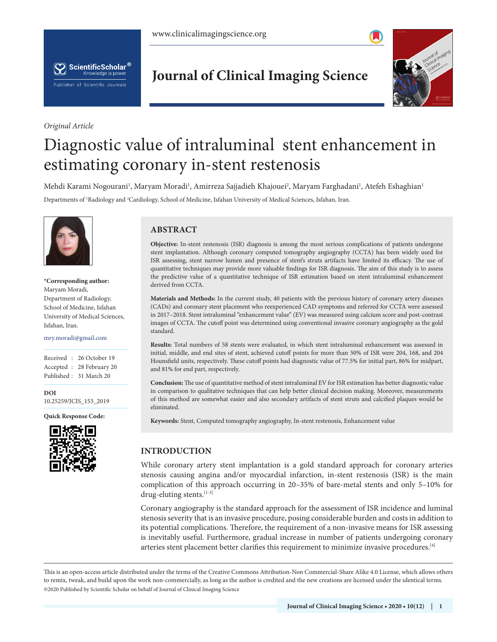



*Original Article*

**Journal of Clinical Imaging Science**



# Diagnostic value of intraluminal stent enhancement in estimating coronary in-stent restenosis

Mehdi Karami Nogourani<sup>1</sup>, Maryam Moradi<sup>1</sup>, Amirreza Sajjadieh Khajouei<sup>2</sup>, Maryam Farghadani<sup>1</sup>, Atefeh Eshaghian<sup>1</sup>

Departments of 1 Radiology and 2 Cardiology, School of Medicine, Isfahan University of Medical Sciences, Isfahan, Iran.



**\*Corresponding author:** Maryam Moradi, Department of Radiology, School of Medicine, Isfahan University of Medical Sciences, Isfahan, Iran.

mry.moradi@gmail.com

Received : 26 October 19 Accepted : 28 February 20 Published : 31 March 20

**DOI** 10.25259/JCIS\_153\_2019

**Quick Response Code:**



# **ABSTRACT**

**Objective:** In-stent restenosis (ISR) diagnosis is among the most serious complications of patients undergone stent implantation. Although coronary computed tomography angiography (CCTA) has been widely used for ISR assessing, stent narrow lumen and presence of stent's struts artifacts have limited its efficacy. The use of quantitative techniques may provide more valuable findings for ISR diagnosis. The aim of this study is to assess the predictive value of a quantitative technique of ISR estimation based on stent intraluminal enhancement derived from CCTA.

**Materials and Methods:** In the current study, 40 patients with the previous history of coronary artery diseases (CADs) and coronary stent placement who reexperienced CAD symptoms and referred for CCTA were assessed in 2017–2018. Stent intraluminal "enhancement value" (EV) was measured using calcium score and post-contrast images of CCTA. The cutoff point was determined using conventional invasive coronary angiography as the gold standard.

**Results:** Total numbers of 58 stents were evaluated, in which stent intraluminal enhancement was assessed in initial, middle, and end sites of stent, achieved cutoff points for more than 50% of ISR were 204, 168, and 204 Hounsfield units, respectively. These cutoff points had diagnostic value of 77.5% for initial part, 86% for midpart, and 81% for end part, respectively.

**Conclusion:**The use of quantitative method of stent intraluminal EV for ISR estimation has better diagnostic value in comparison to qualitative techniques that can help better clinical decision making. Moreover, measurements of this method are somewhat easier and also secondary artifacts of stent struts and calcified plaques would be eliminated.

**Keywords:** Stent, Computed tomography angiography, In-stent restenosis, Enhancement value

# **INTRODUCTION**

While coronary artery stent implantation is a gold standard approach for coronary arteries stenosis causing angina and/or myocardial infarction, in-stent restenosis (ISR) is the main complication of this approach occurring in 20–35% of bare-metal stents and only 5–10% for drug-eluting stents.[1-3]

Coronary angiography is the standard approach for the assessment of ISR incidence and luminal stenosis severity that is an invasive procedure, posing considerable burden and costs in addition to its potential complications. Therefore, the requirement of a non-invasive means for ISR assessing is inevitably useful. Furthermore, gradual increase in number of patients undergoing coronary arteries stent placement better clarifies this requirement to minimize invasive procedures.<sup>[4]</sup>

is is an open-access article distributed under the terms of the Creative Commons Attribution-Non Commercial-Share Alike 4.0 License, which allows others to remix, tweak, and build upon the work non-commercially, as long as the author is credited and the new creations are licensed under the identical terms. ©2020 Published by Scientific Scholar on behalf of Journal of Clinical Imaging Science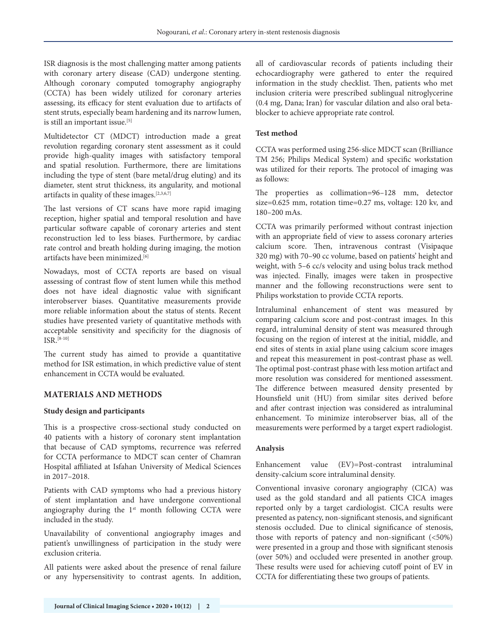ISR diagnosis is the most challenging matter among patients with coronary artery disease (CAD) undergone stenting. Although coronary computed tomography angiography (CCTA) has been widely utilized for coronary arteries assessing, its efficacy for stent evaluation due to artifacts of stent struts, especially beam hardening and its narrow lumen, is still an important issue.<sup>[5]</sup>

Multidetector CT (MDCT) introduction made a great revolution regarding coronary stent assessment as it could provide high-quality images with satisfactory temporal and spatial resolution. Furthermore, there are limitations including the type of stent (bare metal/drug eluting) and its diameter, stent strut thickness, its angularity, and motional artifacts in quality of these images.[2,3,6,7]

The last versions of CT scans have more rapid imaging reception, higher spatial and temporal resolution and have particular software capable of coronary arteries and stent reconstruction led to less biases. Furthermore, by cardiac rate control and breath holding during imaging, the motion artifacts have been minimized.[6]

Nowadays, most of CCTA reports are based on visual assessing of contrast flow of stent lumen while this method does not have ideal diagnostic value with significant interobserver biases. Quantitative measurements provide more reliable information about the status of stents. Recent studies have presented variety of quantitative methods with acceptable sensitivity and specificity for the diagnosis of ISR.[8-10]

The current study has aimed to provide a quantitative method for ISR estimation, in which predictive value of stent enhancement in CCTA would be evaluated.

# **MATERIALS AND METHODS**

#### **Study design and participants**

This is a prospective cross-sectional study conducted on 40 patients with a history of coronary stent implantation that because of CAD symptoms, recurrence was referred for CCTA performance to MDCT scan center of Chamran Hospital affiliated at Isfahan University of Medical Sciences in 2017–2018.

Patients with CAD symptoms who had a previous history of stent implantation and have undergone conventional angiography during the  $1<sup>st</sup>$  month following CCTA were included in the study.

Unavailability of conventional angiography images and patient's unwillingness of participation in the study were exclusion criteria.

All patients were asked about the presence of renal failure or any hypersensitivity to contrast agents. In addition, all of cardiovascular records of patients including their echocardiography were gathered to enter the required information in the study checklist. Then, patients who met inclusion criteria were prescribed sublingual nitroglycerine (0.4 mg, Dana; Iran) for vascular dilation and also oral betablocker to achieve appropriate rate control.

## **Test method**

CCTA was performed using 256-slice MDCT scan (Brilliance TM 256; Philips Medical System) and specific workstation was utilized for their reports. The protocol of imaging was as follows:

The properties as collimation=96–128 mm, detector size=0.625 mm, rotation time=0.27 ms, voltage: 120 kv, and 180–200 mAs.

CCTA was primarily performed without contrast injection with an appropriate field of view to assess coronary arteries calcium score. Then, intravenous contrast (Visipaque 320 mg) with 70–90 cc volume, based on patients' height and weight, with 5–6 cc/s velocity and using bolus track method was injected. Finally, images were taken in prospective manner and the following reconstructions were sent to Philips workstation to provide CCTA reports.

Intraluminal enhancement of stent was measured by comparing calcium score and post-contrast images. In this regard, intraluminal density of stent was measured through focusing on the region of interest at the initial, middle, and end sites of stents in axial plane using calcium score images and repeat this measurement in post-contrast phase as well. The optimal post-contrast phase with less motion artifact and more resolution was considered for mentioned assessment. The difference between measured density presented by Hounsfield unit (HU) from similar sites derived before and after contrast injection was considered as intraluminal enhancement. To minimize interobserver bias, all of the measurements were performed by a target expert radiologist.

#### **Analysis**

Enhancement value (EV)=Post-contrast intraluminal density-calcium score intraluminal density.

Conventional invasive coronary angiography (CICA) was used as the gold standard and all patients CICA images reported only by a target cardiologist. CICA results were presented as patency, non-significant stenosis, and significant stenosis occluded. Due to clinical significance of stenosis, those with reports of patency and non-significant (<50%) were presented in a group and those with significant stenosis (over 50%) and occluded were presented in another group. These results were used for achieving cutoff point of EV in CCTA for differentiating these two groups of patients.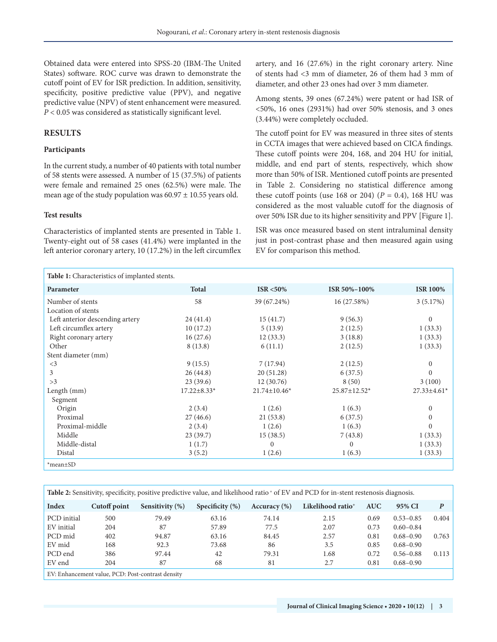Obtained data were entered into SPSS-20 (IBM-The United States) software. ROC curve was drawn to demonstrate the cutoff point of EV for ISR prediction. In addition, sensitivity, specificity, positive predictive value (PPV), and negative predictive value (NPV) of stent enhancement were measured. *P* < 0.05 was considered as statistically significant level.

# **RESULTS**

## **Participants**

In the current study, a number of 40 patients with total number of 58 stents were assessed. A number of 15 (37.5%) of patients were female and remained 25 ones (62.5%) were male. The mean age of the study population was  $60.97 \pm 10.55$  years old.

#### **Test results**

Characteristics of implanted stents are presented in Table 1. Twenty-eight out of 58 cases (41.4%) were implanted in the left anterior coronary artery, 10 (17.2%) in the left circumflex artery, and 16 (27.6%) in the right coronary artery. Nine of stents had <3 mm of diameter, 26 of them had 3 mm of diameter, and other 23 ones had over 3 mm diameter.

Among stents, 39 ones (67.24%) were patent or had ISR of <50%, 16 ones (2931%) had over 50% stenosis, and 3 ones (3.44%) were completely occluded.

The cutoff point for EV was measured in three sites of stents in CCTA images that were achieved based on CICA findings. These cutoff points were 204, 168, and 204 HU for initial, middle, and end part of stents, respectively, which show more than 50% of ISR. Mentioned cutoff points are presented in Table 2. Considering no statistical difference among these cutoff points (use 168 or 204)  $(P = 0.4)$ , 168 HU was considered as the most valuable cutoff for the diagnosis of over 50% ISR due to its higher sensitivity and PPV [Figure 1].

ISR was once measured based on stent intraluminal density just in post-contrast phase and then measured again using EV for comparison this method.

| Table 1: Characteristics of implanted stents. |                   |                    |              |                    |
|-----------------------------------------------|-------------------|--------------------|--------------|--------------------|
| Parameter                                     | <b>Total</b>      | ISR $<$ 50%        | ISR 50%-100% | <b>ISR 100%</b>    |
| Number of stents                              | 58                | 39 (67.24%)        | 16 (27.58%)  | 3(5.17%)           |
| Location of stents                            |                   |                    |              |                    |
| Left anterior descending artery               | 24(41.4)          | 15(41.7)           | 9(56.3)      | $\Omega$           |
| Left circumflex artery                        | 10(17.2)          | 5(13.9)            | 2(12.5)      | 1(33.3)            |
| Right coronary artery                         | 16(27.6)          | 12(33.3)           | 3(18.8)      | 1(33.3)            |
| Other                                         | 8(13.8)           | 6(11.1)            | 2(12.5)      | 1(33.3)            |
| Stent diameter (mm)                           |                   |                    |              |                    |
| $\leq$ 3                                      | 9(15.5)           | 7(17.94)           | 2(12.5)      | $\left($           |
| 3                                             | 26(44.8)          | 20 (51.28)         | 6(37.5)      | $\Omega$           |
| >3                                            | 23(39.6)          | 12(30.76)          | 8(50)        | 3(100)             |
| Length (mm)                                   | $17.22 \pm 8.33*$ | $21.74 \pm 10.46*$ | 25.87±12.52* | $27.33 \pm 4.61$ * |
| Segment                                       |                   |                    |              |                    |
| Origin                                        | 2(3.4)            | 1(2.6)             | 1(6.3)       | $\left($           |
| Proximal                                      | 27(46.6)          | 21(53.8)           | 6(37.5)      | $\left($           |
| Proximal-middle                               | 2(3.4)            | 1(2.6)             | 1(6.3)       | $\Omega$           |
| Middle                                        | 23(39.7)          | 15(38.5)           | 7(43.8)      | 1(33.3)            |
| Middle-distal                                 | 1(1.7)            | $\mathbf{0}$       | $\mathbf{0}$ | 1(33.3)            |
| Distal                                        | 3(5.2)            | 1(2.6)             | 1(6.3)       | 1(33.3)            |
| *mean±SD                                      |                   |                    |              |                    |

| <b>Table 2:</b> Sensitivity, specificity, positive predictive value, and likelihood ratio $\phi$ of EV and PCD for in-stent restenosis diagnosis. |              |                    |                    |                  |                               |            |               |       |  |  |  |
|---------------------------------------------------------------------------------------------------------------------------------------------------|--------------|--------------------|--------------------|------------------|-------------------------------|------------|---------------|-------|--|--|--|
| Index                                                                                                                                             | Cutoff point | Sensitivity $(\%)$ | Specificity $(\%)$ | Accuracy $(\% )$ | Likelihood ratio <sup>+</sup> | <b>AUC</b> | 95% CI        | P     |  |  |  |
| PCD initial                                                                                                                                       | 500          | 79.49              | 63.16              | 74.14            | 2.15                          | 0.69       | $0.53 - 0.85$ | 0.404 |  |  |  |
| EV initial                                                                                                                                        | 204          | 87                 | 57.89              | 77.5             | 2.07                          | 0.73       | $0.60 - 0.84$ |       |  |  |  |
| PCD mid                                                                                                                                           | 402          | 94.87              | 63.16              | 84.45            | 2.57                          | 0.81       | $0.68 - 0.90$ | 0.763 |  |  |  |
| EV mid                                                                                                                                            | 168          | 92.3               | 73.68              | 86               | 3.5                           | 0.85       | $0.68 - 0.90$ |       |  |  |  |
| PCD end                                                                                                                                           | 386          | 97.44              | 42                 | 79.31            | 1.68                          | 0.72       | $0.56 - 0.88$ | 0.113 |  |  |  |
| EV end                                                                                                                                            | 204          | 87                 | 68                 | 81               | 2.7                           | 0.81       | $0.68 - 0.90$ |       |  |  |  |
| EV: Enhancement value, PCD: Post-contrast density                                                                                                 |              |                    |                    |                  |                               |            |               |       |  |  |  |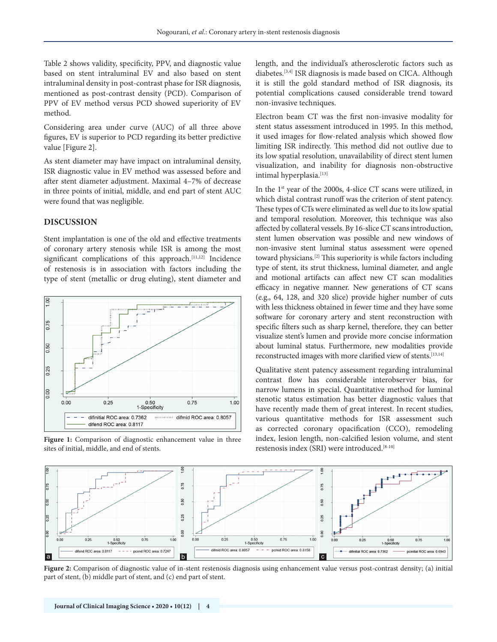Table 2 shows validity, specificity, PPV, and diagnostic value based on stent intraluminal EV and also based on stent intraluminal density in post-contrast phase for ISR diagnosis, mentioned as post-contrast density (PCD). Comparison of PPV of EV method versus PCD showed superiority of EV method.

Considering area under curve (AUC) of all three above figures, EV is superior to PCD regarding its better predictive value [Figure 2].

As stent diameter may have impact on intraluminal density, ISR diagnostic value in EV method was assessed before and after stent diameter adjustment. Maximal 4–7% of decrease in three points of initial, middle, and end part of stent AUC were found that was negligible.

#### **DISCUSSION**

Stent implantation is one of the old and effective treatments of coronary artery stenosis while ISR is among the most significant complications of this approach.<sup>[11,12]</sup> Incidence of restenosis is in association with factors including the type of stent (metallic or drug eluting), stent diameter and



**Figure 1:** Comparison of diagnostic enhancement value in three sites of initial, middle, and end of stents.

length, and the individual's atherosclerotic factors such as diabetes.[3,4] ISR diagnosis is made based on CICA. Although it is still the gold standard method of ISR diagnosis, its potential complications caused considerable trend toward non-invasive techniques.

Electron beam CT was the first non-invasive modality for stent status assessment introduced in 1995. In this method, it used images for flow-related analysis which showed flow limiting ISR indirectly. This method did not outlive due to its low spatial resolution, unavailability of direct stent lumen visualization, and inability for diagnosis non-obstructive intimal hyperplasia.<sup>[13]</sup>

In the  $1<sup>st</sup>$  year of the 2000s, 4-slice CT scans were utilized, in which distal contrast runoff was the criterion of stent patency. These types of CTs were eliminated as well due to its low spatial and temporal resolution. Moreover, this technique was also affected by collateral vessels. By 16-slice CT scans introduction, stent lumen observation was possible and new windows of non-invasive stent luminal status assessment were opened toward physicians.[2] This superiority is while factors including type of stent, its strut thickness, luminal diameter, and angle and motional artifacts can affect new CT scan modalities efficacy in negative manner. New generations of CT scans (e.g., 64, 128, and 320 slice) provide higher number of cuts with less thickness obtained in fewer time and they have some software for coronary artery and stent reconstruction with specific filters such as sharp kernel, therefore, they can better visualize stent's lumen and provide more concise information about luminal status. Furthermore, new modalities provide reconstructed images with more clarified view of stents.<sup>[13,14]</sup>

Qualitative stent patency assessment regarding intraluminal contrast flow has considerable interobserver bias, for narrow lumens in special. Quantitative method for luminal stenotic status estimation has better diagnostic values that have recently made them of great interest. In recent studies, various quantitative methods for ISR assessment such as corrected coronary opacification (CCO), remodeling index, lesion length, non-calcified lesion volume, and stent restenosis index (SRI) were introduced.[8-10]



**Figure 2:** Comparison of diagnostic value of in-stent restenosis diagnosis using enhancement value versus post-contrast density; (a) initial part of stent, (b) middle part of stent, and (c) end part of stent.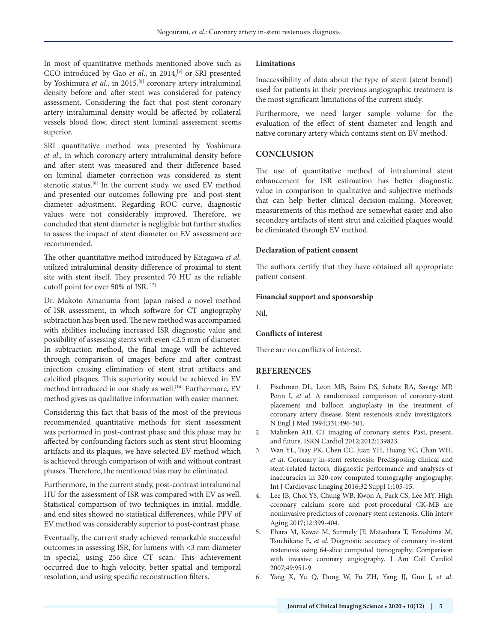In most of quantitative methods mentioned above such as CCO introduced by Gao et al., in 2014,<sup>[9]</sup> or SRI presented by Yoshimura et al., in 2015,<sup>[8]</sup> coronary artery intraluminal density before and after stent was considered for patency assessment. Considering the fact that post-stent coronary artery intraluminal density would be affected by collateral vessels blood flow, direct stent luminal assessment seems superior.

SRI quantitative method was presented by Yoshimura *et al*., in which coronary artery intraluminal density before and after stent was measured and their difference based on luminal diameter correction was considered as stent stenotic status.[8] In the current study, we used EV method and presented our outcomes following pre- and post-stent diameter adjustment. Regarding ROC curve, diagnostic values were not considerably improved. Therefore, we concluded that stent diameter is negligible but further studies to assess the impact of stent diameter on EV assessment are recommended.

The other quantitative method introduced by Kitagawa *et al*. utilized intraluminal density difference of proximal to stent site with stent itself. They presented 70 HU as the reliable cutoff point for over 50% of ISR.<sup>[15]</sup>

Dr. Makoto Amanuma from Japan raised a novel method of ISR assessment, in which software for CT angiography subtraction has been used. The new method was accompanied with abilities including increased ISR diagnostic value and possibility of assessing stents with even <2.5 mm of diameter. In subtraction method, the final image will be achieved through comparison of images before and after contrast injection causing elimination of stent strut artifacts and calcified plaques. This superiority would be achieved in EV method introduced in our study as well.<sup>[16]</sup> Furthermore, EV method gives us qualitative information with easier manner.

Considering this fact that basis of the most of the previous recommended quantitative methods for stent assessment was performed in post-contrast phase and this phase may be affected by confounding factors such as stent strut blooming artifacts and its plaques, we have selected EV method which is achieved through comparison of with and without contrast phases. Therefore, the mentioned bias may be eliminated.

Furthermore, in the current study, post-contrast intraluminal HU for the assessment of ISR was compared with EV as well. Statistical comparison of two techniques in initial, middle, and end sites showed no statistical differences, while PPV of EV method was considerably superior to post-contrast phase.

Eventually, the current study achieved remarkable successful outcomes in assessing ISR, for lumens with <3 mm diameter in special, using 256-slice CT scan. This achievement occurred due to high velocity, better spatial and temporal resolution, and using specific reconstruction filters.

#### **Limitations**

Inaccessibility of data about the type of stent (stent brand) used for patients in their previous angiographic treatment is the most significant limitations of the current study.

Furthermore, we need larger sample volume for the evaluation of the effect of stent diameter and length and native coronary artery which contains stent on EV method.

## **CONCLUSION**

The use of quantitative method of intraluminal stent enhancement for ISR estimation has better diagnostic value in comparison to qualitative and subjective methods that can help better clinical decision-making. Moreover, measurements of this method are somewhat easier and also secondary artifacts of stent strut and calcified plaques would be eliminated through EV method.

#### **Declaration of patient consent**

The authors certify that they have obtained all appropriate patient consent.

#### **Financial support and sponsorship**

Nil.

#### **Conflicts of interest**

There are no conflicts of interest.

# **REFERENCES**

- 1. Fischman DL, Leon MB, Baim DS, Schatz RA, Savage MP, Penn I, *et al.* A randomized comparison of coronary-stent placement and balloon angioplasty in the treatment of coronary artery disease. Stent restenosis study investigators. N Engl J Med 1994;331:496-501.
- 2. Mahnken AH. CT imaging of coronary stents: Past, present, and future. ISRN Cardiol 2012;2012:139823.
- 3. Wan YL, Tsay PK, Chen CC, Juan YH, Huang YC, Chan WH, *et al*. Coronary in-stent restenosis: Predisposing clinical and stent-related factors, diagnostic performance and analyses of inaccuracies in 320-row computed tomography angiography. Int J Cardiovasc Imaging 2016;32 Suppl 1:105-15.
- 4. Lee JB, Choi YS, Chung WB, Kwon A, Park CS, Lee MY. High coronary calcium score and post-procedural CK-MB are noninvasive predictors of coronary stent restenosis. Clin Interv Aging 2017;12:399-404.
- 5. Ehara M, Kawai M, Surmely JF, Matsubara T, Terashima M, Tsuchikane E, *et al*. Diagnostic accuracy of coronary in-stent restenosis using 64-slice computed tomography: Comparison with invasive coronary angiography. J Am Coll Cardiol 2007;49:951-9.
- 6. Yang X, Yu Q, Dong W, Fu ZH, Yang JJ, Guo J, *et al*.